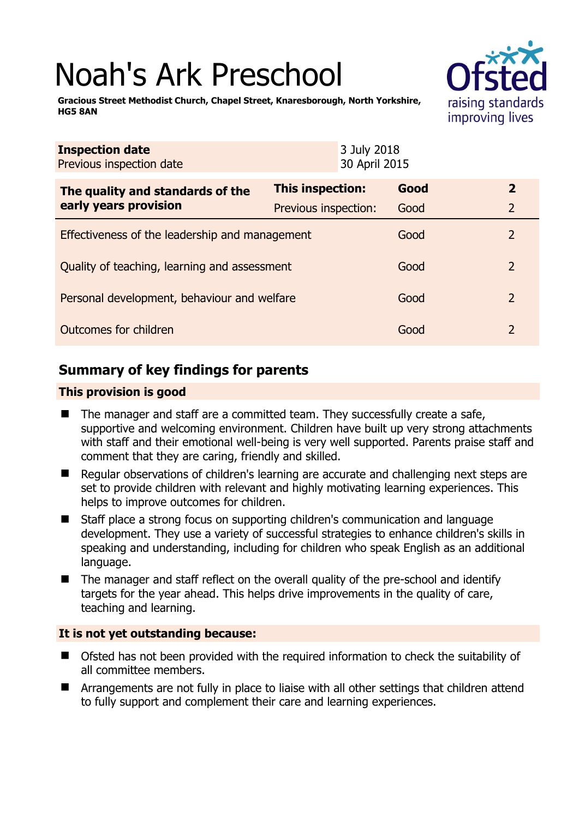# Noah's Ark Preschool



**Gracious Street Methodist Church, Chapel Street, Knaresborough, North Yorkshire, HG5 8AN** 

| <b>Inspection date</b><br>Previous inspection date        | 3 July 2018<br>30 April 2015 |      |                |
|-----------------------------------------------------------|------------------------------|------|----------------|
| The quality and standards of the<br>early years provision | This inspection:             | Good | $\overline{2}$ |
|                                                           | Previous inspection:         | Good | $\overline{2}$ |
| Effectiveness of the leadership and management            |                              | Good | 2              |
| Quality of teaching, learning and assessment              |                              | Good | 2              |
| Personal development, behaviour and welfare               |                              | Good | 2              |
| Outcomes for children                                     |                              | Good | $\overline{2}$ |

# **Summary of key findings for parents**

#### **This provision is good**

- The manager and staff are a committed team. They successfully create a safe, supportive and welcoming environment. Children have built up very strong attachments with staff and their emotional well-being is very well supported. Parents praise staff and comment that they are caring, friendly and skilled.
- Regular observations of children's learning are accurate and challenging next steps are set to provide children with relevant and highly motivating learning experiences. This helps to improve outcomes for children.
- Staff place a strong focus on supporting children's communication and language development. They use a variety of successful strategies to enhance children's skills in speaking and understanding, including for children who speak English as an additional language.
- The manager and staff reflect on the overall quality of the pre-school and identify targets for the year ahead. This helps drive improvements in the quality of care, teaching and learning.

#### **It is not yet outstanding because:**

- Ofsted has not been provided with the required information to check the suitability of all committee members.
- Arrangements are not fully in place to liaise with all other settings that children attend to fully support and complement their care and learning experiences.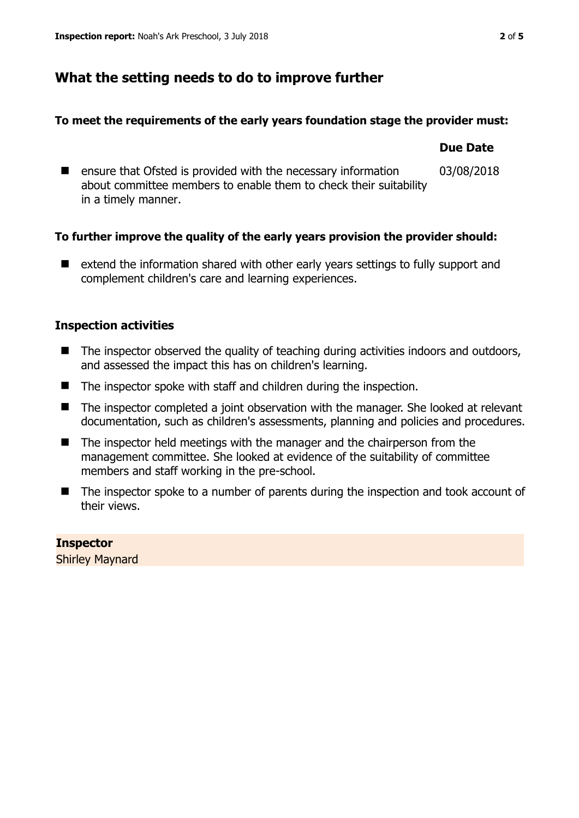# **What the setting needs to do to improve further**

#### **To meet the requirements of the early years foundation stage the provider must:**

#### **Due Date**  $\blacksquare$  ensure that Ofsted is provided with the necessary information about committee members to enable them to check their suitability in a timely manner. 03/08/2018

## **To further improve the quality of the early years provision the provider should:**

■ extend the information shared with other early years settings to fully support and complement children's care and learning experiences.

## **Inspection activities**

- The inspector observed the quality of teaching during activities indoors and outdoors, and assessed the impact this has on children's learning.
- The inspector spoke with staff and children during the inspection.
- The inspector completed a joint observation with the manager. She looked at relevant documentation, such as children's assessments, planning and policies and procedures.
- The inspector held meetings with the manager and the chairperson from the management committee. She looked at evidence of the suitability of committee members and staff working in the pre-school.
- The inspector spoke to a number of parents during the inspection and took account of their views.

# **Inspector**

Shirley Maynard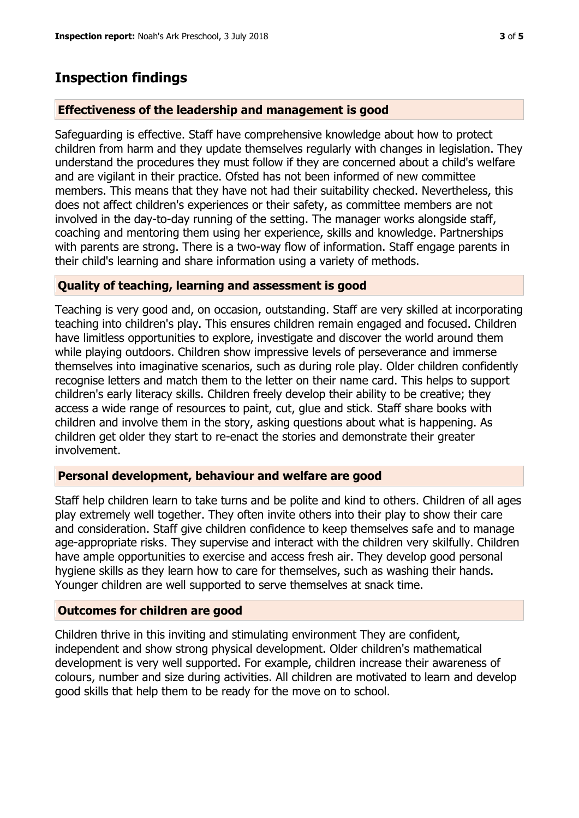# **Inspection findings**

#### **Effectiveness of the leadership and management is good**

Safeguarding is effective. Staff have comprehensive knowledge about how to protect children from harm and they update themselves regularly with changes in legislation. They understand the procedures they must follow if they are concerned about a child's welfare and are vigilant in their practice. Ofsted has not been informed of new committee members. This means that they have not had their suitability checked. Nevertheless, this does not affect children's experiences or their safety, as committee members are not involved in the day-to-day running of the setting. The manager works alongside staff, coaching and mentoring them using her experience, skills and knowledge. Partnerships with parents are strong. There is a two-way flow of information. Staff engage parents in their child's learning and share information using a variety of methods.

#### **Quality of teaching, learning and assessment is good**

Teaching is very good and, on occasion, outstanding. Staff are very skilled at incorporating teaching into children's play. This ensures children remain engaged and focused. Children have limitless opportunities to explore, investigate and discover the world around them while playing outdoors. Children show impressive levels of perseverance and immerse themselves into imaginative scenarios, such as during role play. Older children confidently recognise letters and match them to the letter on their name card. This helps to support children's early literacy skills. Children freely develop their ability to be creative; they access a wide range of resources to paint, cut, glue and stick. Staff share books with children and involve them in the story, asking questions about what is happening. As children get older they start to re-enact the stories and demonstrate their greater involvement.

#### **Personal development, behaviour and welfare are good**

Staff help children learn to take turns and be polite and kind to others. Children of all ages play extremely well together. They often invite others into their play to show their care and consideration. Staff give children confidence to keep themselves safe and to manage age-appropriate risks. They supervise and interact with the children very skilfully. Children have ample opportunities to exercise and access fresh air. They develop good personal hygiene skills as they learn how to care for themselves, such as washing their hands. Younger children are well supported to serve themselves at snack time.

#### **Outcomes for children are good**

Children thrive in this inviting and stimulating environment They are confident, independent and show strong physical development. Older children's mathematical development is very well supported. For example, children increase their awareness of colours, number and size during activities. All children are motivated to learn and develop good skills that help them to be ready for the move on to school.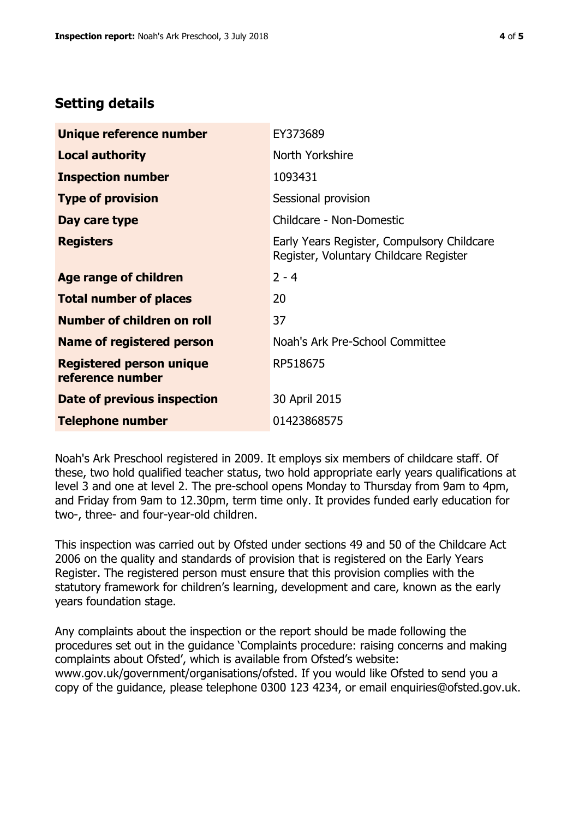# **Setting details**

| Unique reference number                             | EY373689                                                                             |  |
|-----------------------------------------------------|--------------------------------------------------------------------------------------|--|
| <b>Local authority</b>                              | North Yorkshire                                                                      |  |
| <b>Inspection number</b>                            | 1093431                                                                              |  |
| <b>Type of provision</b>                            | Sessional provision                                                                  |  |
| Day care type                                       | Childcare - Non-Domestic                                                             |  |
| <b>Registers</b>                                    | Early Years Register, Compulsory Childcare<br>Register, Voluntary Childcare Register |  |
| Age range of children                               | $2 - 4$                                                                              |  |
| <b>Total number of places</b>                       | 20                                                                                   |  |
| Number of children on roll                          | 37                                                                                   |  |
| Name of registered person                           | Noah's Ark Pre-School Committee                                                      |  |
| <b>Registered person unique</b><br>reference number | RP518675                                                                             |  |
| Date of previous inspection                         | 30 April 2015                                                                        |  |
| <b>Telephone number</b>                             | 01423868575                                                                          |  |

Noah's Ark Preschool registered in 2009. It employs six members of childcare staff. Of these, two hold qualified teacher status, two hold appropriate early years qualifications at level 3 and one at level 2. The pre-school opens Monday to Thursday from 9am to 4pm, and Friday from 9am to 12.30pm, term time only. It provides funded early education for two-, three- and four-year-old children.

This inspection was carried out by Ofsted under sections 49 and 50 of the Childcare Act 2006 on the quality and standards of provision that is registered on the Early Years Register. The registered person must ensure that this provision complies with the statutory framework for children's learning, development and care, known as the early years foundation stage.

Any complaints about the inspection or the report should be made following the procedures set out in the guidance 'Complaints procedure: raising concerns and making complaints about Ofsted', which is available from Ofsted's website: www.gov.uk/government/organisations/ofsted. If you would like Ofsted to send you a copy of the guidance, please telephone 0300 123 4234, or email enquiries@ofsted.gov.uk.